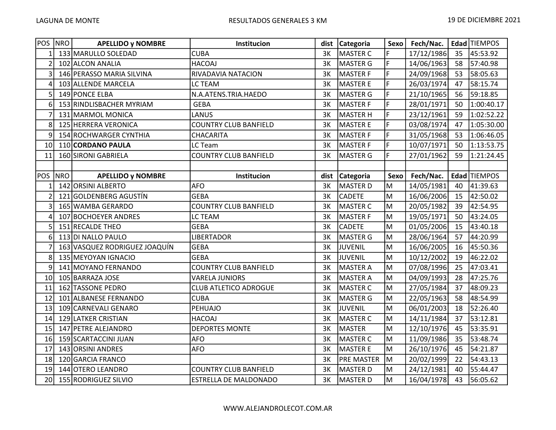| <b>POS</b>     | NRO        | <b>APELLIDO y NOMBRE</b>      | Institucion                  |      | dist Categoria    | Sexo           | Fech/Nac.  |    | Edad TIEMPOS |
|----------------|------------|-------------------------------|------------------------------|------|-------------------|----------------|------------|----|--------------|
|                |            | 133 MARULLO SOLEDAD           | <b>CUBA</b>                  | 3K   | MASTER C          | F              | 17/12/1986 | 35 | 45:53.92     |
| $\overline{2}$ |            | 102 ALCON ANALIA              | <b>HACOAJ</b>                | 3K   | MASTER G          | $\overline{F}$ | 14/06/1963 | 58 | 57:40.98     |
| 3              |            | 146 PERASSO MARIA SILVINA     | RIVADAVIA NATACION           | 3K   | MASTER F          | F              | 24/09/1968 | 53 | 58:05.63     |
| 4              |            | 103 ALLENDE MARCELA           | LC TEAM                      | 3K   | <b>MASTER E</b>   | F              | 26/03/1974 | 47 | 58:15.74     |
| 5              |            | 149 PONCE ELBA                | N.A.ATENS.TRIA.HAEDO         | 3K   | <b>MASTER G</b>   | F              | 21/10/1965 | 56 | 59:18.85     |
| 6              |            | 153 RINDLISBACHER MYRIAM      | <b>GEBA</b>                  | 3K   | MASTER F          | F              | 28/01/1971 | 50 | 1:00:40.17   |
| 7              |            | 131 MARMOL MONICA             | LANUS                        | 3K   | <b>MASTER H</b>   | $\mathsf F$    | 23/12/1961 | 59 | 1:02:52.22   |
| 8              |            | 125 HERRERA VERONICA          | <b>COUNTRY CLUB BANFIELD</b> | 3K   | <b>MASTER E</b>   | F              | 03/08/1974 | 47 | 1:05:30.00   |
| 9              |            | 154 ROCHWARGER CYNTHIA        | CHACARITA                    | 3K   | MASTER F          | F              | 31/05/1968 | 53 | 1:06:46.05   |
| 10             |            | 110 CORDANO PAULA             | LC Team                      | 3K   | <b>MASTER F</b>   | F              | 10/07/1971 | 50 | 1:13:53.75   |
| 11             |            | 160 SIRONI GABRIELA           | <b>COUNTRY CLUB BANFIELD</b> | 3K   | <b>MASTER G</b>   | F              | 27/01/1962 | 59 | 1:21:24.45   |
|                |            |                               |                              |      |                   |                |            |    |              |
| <b>POS</b>     | <b>NRO</b> | <b>APELLIDO y NOMBRE</b>      | Institucion                  | dist | Categoria         | Sexo           | Fech/Nac.  |    | Edad TIEMPOS |
|                |            | 142 ORSINI ALBERTO            | <b>AFO</b>                   | 3K   | MASTER D          | M              | 14/05/1981 | 40 | 41:39.63     |
|                | 121        | GOLDENBERG AGUSTÍN            | <b>GEBA</b>                  | 3K   | <b>CADETE</b>     | M              | 16/06/2006 | 15 | 42:50.02     |
| 3              |            | 165 WAMBA GERARDO             | <b>COUNTRY CLUB BANFIELD</b> | 3K   | <b>MASTER C</b>   | M              | 20/05/1982 | 39 | 42:54.95     |
| 4              |            | 107 BOCHOEYER ANDRES          | LC TEAM                      | 3K   | <b>MASTER F</b>   | M              | 19/05/1971 | 50 | 43:24.05     |
| 5              |            | 151 RECALDE THEO              | <b>GEBA</b>                  | 3K   | <b>CADETE</b>     | M              | 01/05/2006 | 15 | 43:40.18     |
| 6              |            | 113 DI NALLO PAULO            | <b>LIBERTADOR</b>            | 3K   | MASTER G          | M              | 28/06/1964 | 57 | 44:20.99     |
|                |            | 163 VASQUEZ RODRIGUEZ JOAQUÍN | <b>GEBA</b>                  | 3K   | JUVENIL           | M              | 16/06/2005 | 16 | 45:50.36     |
| 8              |            | 135 MEYOYAN IGNACIO           | <b>GEBA</b>                  | 3K   | JUVENIL           | M              | 10/12/2002 | 19 | 46:22.02     |
| 9              |            | 141 MOYANO FERNANDO           | <b>COUNTRY CLUB BANFIELD</b> | 3K   | MASTER A          | M              | 07/08/1996 | 25 | 47:03.41     |
| 10             |            | 105 BARRAZA JOSE              | <b>VARELA JUNIORS</b>        | 3K   | MASTER A          | M              | 04/09/1993 | 28 | 47:25.76     |
| 11             |            | 162 TASSONE PEDRO             | <b>CLUB ATLETICO ADROGUE</b> | 3K   | MASTER C          | lм             | 27/05/1984 | 37 | 48:09.23     |
| 12             |            | 101 ALBANESE FERNANDO         | <b>CUBA</b>                  | 3K   | <b>MASTER G</b>   | M              | 22/05/1963 | 58 | 48:54.99     |
| 13             |            | 109 CARNEVALI GENARO          | PEHUAJO                      | 3K   | JUVENIL           | M              | 06/01/2003 | 18 | 52:26.40     |
| 14             |            | 129 LATKER CRISTIAN           | <b>HACOAJ</b>                | 3K   | MASTER C          | M              | 14/11/1984 | 37 | 53:12.81     |
| 15             |            | 147 PETRE ALEJANDRO           | <b>DEPORTES MONTE</b>        | 3K   | MASTER            | lм             | 12/10/1976 | 45 | 53:35.91     |
| 16             |            | 159 SCARTACCINI JUAN          | <b>AFO</b>                   | 3K   | MASTER C          | İМ             | 11/09/1986 | 35 | 53:48.74     |
| 17             |            | 143 ORSINI ANDRES             | <b>AFO</b>                   | 3K   | <b>MASTER E</b>   | M              | 26/10/1976 | 45 | 54:21.87     |
| 18             |            | 120 GARCIA FRANCO             |                              | 3K   | <b>PRE MASTER</b> | lм             | 20/02/1999 | 22 | 54:43.13     |
| 19             |            | 144 OTERO LEANDRO             | <b>COUNTRY CLUB BANFIELD</b> | 3K   | <b>MASTER D</b>   | M              | 24/12/1981 | 40 | 55:44.47     |
| 20             |            | 155 RODRIGUEZ SILVIO          | <b>ESTRELLA DE MALDONADO</b> | 3K   | MASTER D          | lм             | 16/04/1978 | 43 | 56:05.62     |